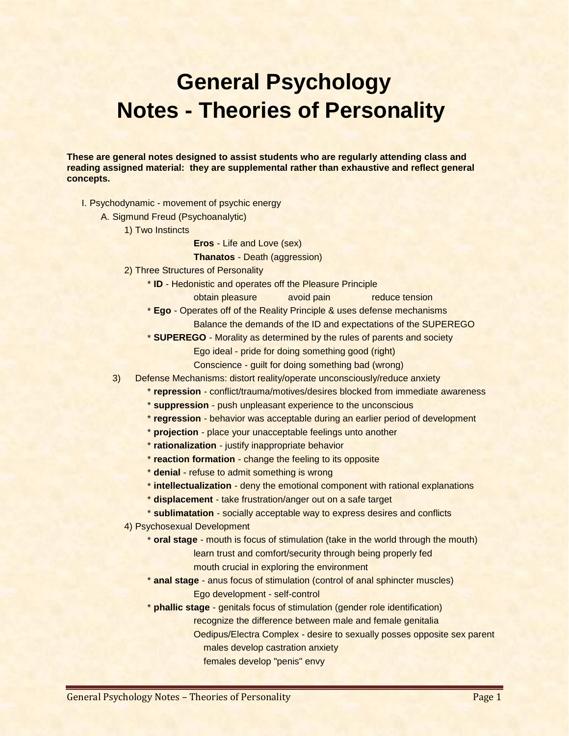## **General Psychology Notes - Theories of Personality**

**These are general notes designed to assist students who are regularly attending class and reading assigned material: they are supplemental rather than exhaustive and reflect general concepts.**

- I. Psychodynamic movement of psychic energy
	- A. Sigmund Freud (Psychoanalytic)
		- 1) Two Instincts
			- **Eros** Life and Love (sex)
			- **Thanatos** Death (aggression)
		- 2) Three Structures of Personality
			- \* **ID** Hedonistic and operates off the Pleasure Principle
				- obtain pleasure avoid pain but and reduce tension
			- \* **Ego** Operates off of the Reality Principle & uses defense mechanisms
				- Balance the demands of the ID and expectations of the SUPEREGO
			- \* **SUPEREGO** Morality as determined by the rules of parents and society
				- Ego ideal pride for doing something good (right)
				- Conscience guilt for doing something bad (wrong)
		- 3) Defense Mechanisms: distort reality/operate unconsciously/reduce anxiety
			- \* **repression** conflict/trauma/motives/desires blocked from immediate awareness
			- \* **suppression** push unpleasant experience to the unconscious
			- \* **regression** behavior was acceptable during an earlier period of development
			- \* **projection** place your unacceptable feelings unto another
			- \* **rationalization** justify inappropriate behavior
			- \* **reaction formation** change the feeling to its opposite
			- \* **denial** refuse to admit something is wrong
			- \* **intellectualization** deny the emotional component with rational explanations
			- \* **displacement** take frustration/anger out on a safe target
			- \* **sublimatation** socially acceptable way to express desires and conflicts
			- 4) Psychosexual Development
				- \* **oral stage** mouth is focus of stimulation (take in the world through the mouth) learn trust and comfort/security through being properly fed
					- mouth crucial in exploring the environment
				- \* **anal stage** anus focus of stimulation (control of anal sphincter muscles) Ego development - self-control
				- \* **phallic stage** genitals focus of stimulation (gender role identification)
					- recognize the difference between male and female genitalia
						- Oedipus/Electra Complex desire to sexually posses opposite sex parent males develop castration anxiety
							- females develop "penis" envy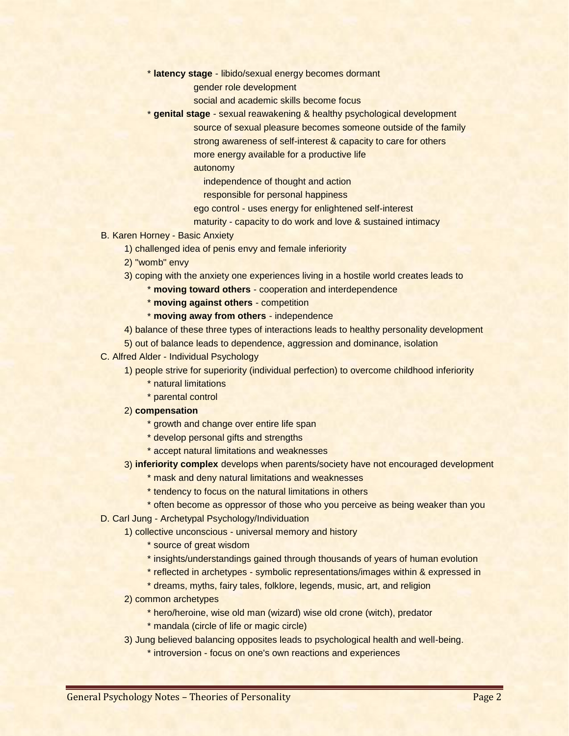- \* **latency stage** libido/sexual energy becomes dormant
	- gender role development
		- social and academic skills become focus
- \* **genital stage** sexual reawakening & healthy psychological development source of sexual pleasure becomes someone outside of the family strong awareness of self-interest & capacity to care for others more energy available for a productive life
	- autonomy
		- independence of thought and action
		- responsible for personal happiness
	- ego control uses energy for enlightened self-interest
	- maturity capacity to do work and love & sustained intimacy
- B. Karen Horney Basic Anxiety
	- 1) challenged idea of penis envy and female inferiority
	- 2) "womb" envy
	- 3) coping with the anxiety one experiences living in a hostile world creates leads to
		- \* **moving toward others** cooperation and interdependence
			- \* **moving against others** competition
			- \* **moving away from others** independence
	- 4) balance of these three types of interactions leads to healthy personality development
	- 5) out of balance leads to dependence, aggression and dominance, isolation
- C. Alfred Alder Individual Psychology
	- 1) people strive for superiority (individual perfection) to overcome childhood inferiority
		- \* natural limitations
		- \* parental control
	- 2) **compensation**
		- \* growth and change over entire life span
		- \* develop personal gifts and strengths
		- \* accept natural limitations and weaknesses
	- 3) **inferiority complex** develops when parents/society have not encouraged development
		- \* mask and deny natural limitations and weaknesses
		- \* tendency to focus on the natural limitations in others
		- \* often become as oppressor of those who you perceive as being weaker than you
- D. Carl Jung Archetypal Psychology/Individuation
	- 1) collective unconscious universal memory and history
		- \* source of great wisdom
		- \* insights/understandings gained through thousands of years of human evolution
		- \* reflected in archetypes symbolic representations/images within & expressed in
		- \* dreams, myths, fairy tales, folklore, legends, music, art, and religion
		- 2) common archetypes
			- \* hero/heroine, wise old man (wizard) wise old crone (witch), predator
			- \* mandala (circle of life or magic circle)
		- 3) Jung believed balancing opposites leads to psychological health and well-being.
			- \* introversion focus on one's own reactions and experiences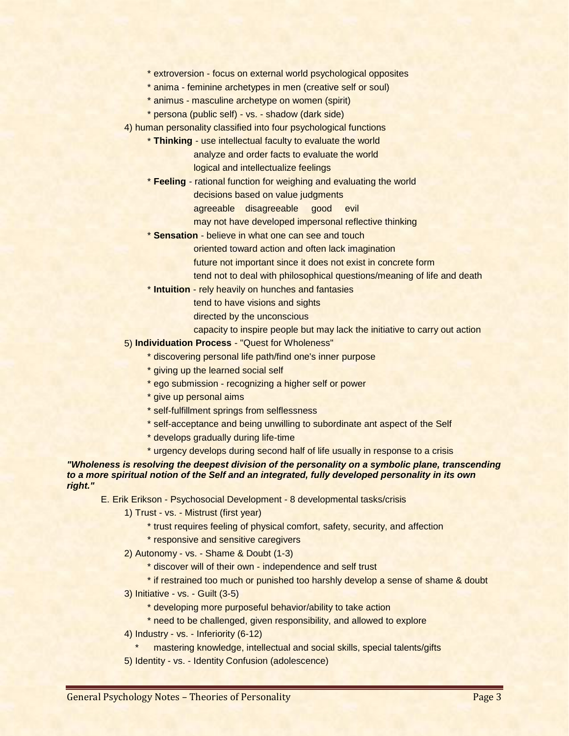- \* extroversion focus on external world psychological opposites
- \* anima feminine archetypes in men (creative self or soul)
- \* animus masculine archetype on women (spirit)
- \* persona (public self) vs. shadow (dark side)

4) human personality classified into four psychological functions

- \* **Thinking** use intellectual faculty to evaluate the world
	- analyze and order facts to evaluate the world

logical and intellectualize feelings

- \* **Feeling** rational function for weighing and evaluating the world decisions based on value judgments
	- agreeable disagreeable good evil
	- may not have developed impersonal reflective thinking
- \* **Sensation** believe in what one can see and touch
	- oriented toward action and often lack imagination
	- future not important since it does not exist in concrete form
	- tend not to deal with philosophical questions/meaning of life and death
- \* **Intuition** rely heavily on hunches and fantasies
	- tend to have visions and sights
		- directed by the unconscious
		- capacity to inspire people but may lack the initiative to carry out action
- 5) **Individuation Process** "Quest for Wholeness"
	- \* discovering personal life path/find one's inner purpose
	- \* giving up the learned social self
	- \* ego submission recognizing a higher self or power
	- \* give up personal aims
	- \* self-fulfillment springs from selflessness
	- \* self-acceptance and being unwilling to subordinate ant aspect of the Self
	- \* develops gradually during life-time
	- \* urgency develops during second half of life usually in response to a crisis

*"Wholeness is resolving the deepest division of the personality on a symbolic plane, transcending to a more spiritual notion of the Self and an integrated, fully developed personality in its own right."*

E. Erik Erikson - Psychosocial Development - 8 developmental tasks/crisis

- 1) Trust vs. Mistrust (first year)
	- \* trust requires feeling of physical comfort, safety, security, and affection
	- \* responsive and sensitive caregivers
- 2) Autonomy vs. Shame & Doubt (1-3)
	- \* discover will of their own independence and self trust
- \* if restrained too much or punished too harshly develop a sense of shame & doubt
- 3) Initiative vs. Guilt (3-5)
	- \* developing more purposeful behavior/ability to take action
	- \* need to be challenged, given responsibility, and allowed to explore
- 4) Industry vs. Inferiority (6-12)
	- mastering knowledge, intellectual and social skills, special talents/gifts
- 5) Identity vs. Identity Confusion (adolescence)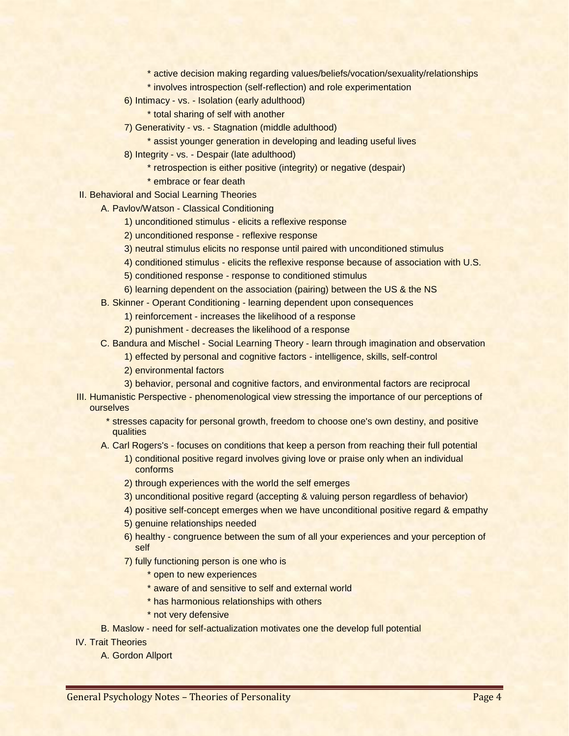\* active decision making regarding values/beliefs/vocation/sexuality/relationships

- \* involves introspection (self-reflection) and role experimentation
- 6) Intimacy vs. Isolation (early adulthood)
	- \* total sharing of self with another
- 7) Generativity vs. Stagnation (middle adulthood)
	- \* assist younger generation in developing and leading useful lives
- 8) Integrity vs. Despair (late adulthood)
	- \* retrospection is either positive (integrity) or negative (despair)
	- \* embrace or fear death
- II. Behavioral and Social Learning Theories
	- A. Pavlov/Watson Classical Conditioning
		- 1) unconditioned stimulus elicits a reflexive response
		- 2) unconditioned response reflexive response
		- 3) neutral stimulus elicits no response until paired with unconditioned stimulus
		- 4) conditioned stimulus elicits the reflexive response because of association with U.S.
		- 5) conditioned response response to conditioned stimulus
		- 6) learning dependent on the association (pairing) between the US & the NS
	- B. Skinner Operant Conditioning learning dependent upon consequences
		- 1) reinforcement increases the likelihood of a response
		- 2) punishment decreases the likelihood of a response
	- C. Bandura and Mischel Social Learning Theory learn through imagination and observation
		- 1) effected by personal and cognitive factors intelligence, skills, self-control
		- 2) environmental factors
		- 3) behavior, personal and cognitive factors, and environmental factors are reciprocal
- III. Humanistic Perspective phenomenological view stressing the importance of our perceptions of ourselves
	- \* stresses capacity for personal growth, freedom to choose one's own destiny, and positive qualities
	- A. Carl Rogers's focuses on conditions that keep a person from reaching their full potential
		- 1) conditional positive regard involves giving love or praise only when an individual conforms
		- 2) through experiences with the world the self emerges
		- 3) unconditional positive regard (accepting & valuing person regardless of behavior)
		- 4) positive self-concept emerges when we have unconditional positive regard & empathy
		- 5) genuine relationships needed
		- 6) healthy congruence between the sum of all your experiences and your perception of self
		- 7) fully functioning person is one who is
			- \* open to new experiences
			- \* aware of and sensitive to self and external world
			- \* has harmonious relationships with others
			- \* not very defensive
	- B. Maslow need for self-actualization motivates one the develop full potential

IV. Trait Theories

A. Gordon Allport